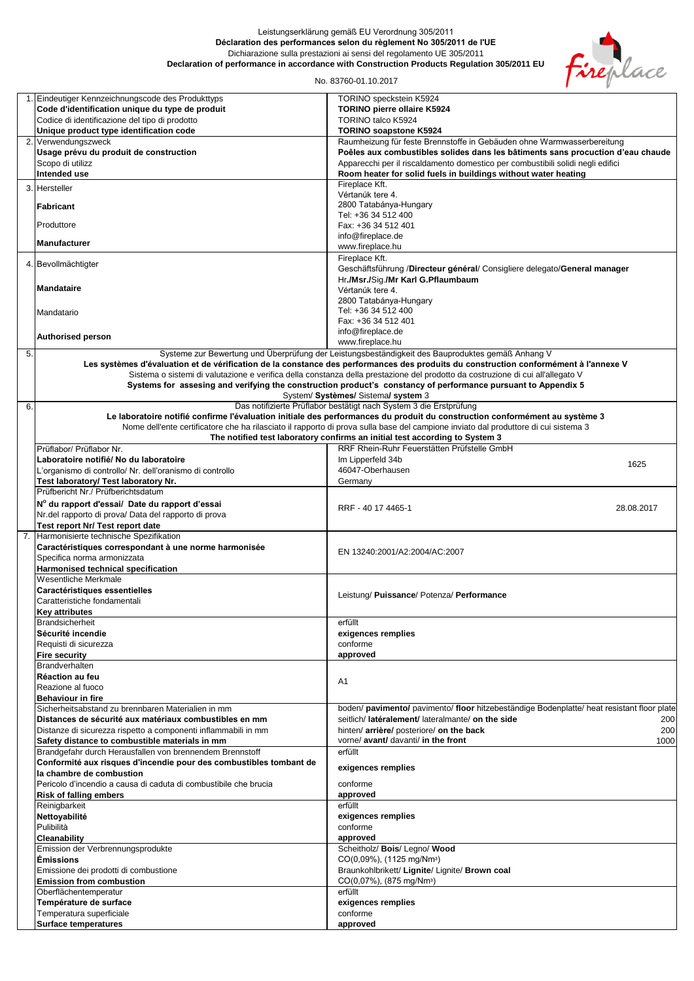## Leistungserklärung gemäß EU Verordnung 305/2011 **Déclaration des performances selon du règlement No 305/2011 de l'UE** Dichiarazione sulla prestazioni ai sensi del regolamento UE 305/2011 **Declaration of performance in accordance with Construction Products Regulation 305/2011 EU**



No. 83760-01.10.2017

|    | 1. Eindeutiger Kennzeichnungscode des Produkttyps                  | TORINO speckstein K5924                                                                                                              |
|----|--------------------------------------------------------------------|--------------------------------------------------------------------------------------------------------------------------------------|
|    | Code d'identification unique du type de produit                    | <b>TORINO pierre ollaire K5924</b>                                                                                                   |
|    | Codice di identificazione del tipo di prodotto                     | TORINO talco K5924                                                                                                                   |
|    |                                                                    |                                                                                                                                      |
|    | Unique product type identification code                            | <b>TORINO soapstone K5924</b>                                                                                                        |
|    | 2. Verwendungszweck                                                | Raumheizung für feste Brennstoffe in Gebäuden ohne Warmwasserbereitung                                                               |
|    | Usage prévu du produit de construction                             | Poêles aux combustibles solides dans les bâtiments sans procuction d'eau chaude                                                      |
|    | Scopo di utilizz                                                   | Apparecchi per il riscaldamento domestico per combustibili solidi negli edifici                                                      |
|    |                                                                    |                                                                                                                                      |
|    | Intended use                                                       | Room heater for solid fuels in buildings without water heating                                                                       |
|    | 3. Hersteller                                                      | Fireplace Kft.                                                                                                                       |
|    |                                                                    | Vértanúk tere 4.                                                                                                                     |
|    |                                                                    | 2800 Tatabánya-Hungary                                                                                                               |
|    | Fabricant                                                          |                                                                                                                                      |
|    |                                                                    | Tel: +36 34 512 400                                                                                                                  |
|    | Produttore                                                         | Fax: +36 34 512 401                                                                                                                  |
|    |                                                                    | info@fireplace.de                                                                                                                    |
|    | <b>Manufacturer</b>                                                |                                                                                                                                      |
|    |                                                                    | www.fireplace.hu                                                                                                                     |
|    |                                                                    | Fireplace Kft.                                                                                                                       |
|    | 4. Bevollmächtigter                                                | Geschäftsführung /Directeur général/ Consigliere delegato/General manager                                                            |
|    |                                                                    |                                                                                                                                      |
|    |                                                                    | Hr./Msr./Sig./Mr Karl G.Pflaumbaum                                                                                                   |
|    | <b>Mandataire</b>                                                  | Vértanúk tere 4.                                                                                                                     |
|    |                                                                    | 2800 Tatabánya-Hungary                                                                                                               |
|    |                                                                    | Tel: +36 34 512 400                                                                                                                  |
|    | Mandatario                                                         |                                                                                                                                      |
|    |                                                                    | Fax: +36 34 512 401                                                                                                                  |
|    |                                                                    | info@fireplace.de                                                                                                                    |
|    | <b>Authorised person</b>                                           | www.fireplace.hu                                                                                                                     |
|    |                                                                    |                                                                                                                                      |
| 5. |                                                                    | Systeme zur Bewertung und Überprüfung der Leistungsbeständigkeit des Bauproduktes gemäß Anhang V                                     |
|    |                                                                    | Les systèmes d'évaluation et de vérification de la constance des performances des produits du construction conformément à l'annexe V |
|    |                                                                    | Sistema o sistemi di valutazione e verifica della constanza della prestazione del prodotto da costruzione di cui all'allegato V      |
|    |                                                                    | Systems for assesing and verifying the construction product's constancy of performance pursuant to Appendix 5                        |
|    |                                                                    |                                                                                                                                      |
|    |                                                                    | System/ Systèmes/ Sistema/ system 3                                                                                                  |
| 6. |                                                                    | Das notifizierte Prüflabor bestätigt nach System 3 die Erstprüfung                                                                   |
|    |                                                                    | Le laboratoire notifié confirme l'évaluation initiale des performances du produit du construction conformément au système 3          |
|    |                                                                    |                                                                                                                                      |
|    |                                                                    | Nome dell'ente certificatore che ha rilasciato il rapporto di prova sulla base del campione inviato dal produttore di cui sistema 3  |
|    |                                                                    | The notified test laboratory confirms an initial test according to System 3                                                          |
|    | Prüflabor/ Prüflabor Nr.                                           | RRF Rhein-Ruhr Feuerstätten Prüfstelle GmbH                                                                                          |
|    |                                                                    |                                                                                                                                      |
|    | Laboratoire notifié/ No du laboratoire                             | Im Lipperfeld 34b<br>1625                                                                                                            |
|    | L'organismo di controllo/ Nr. dell'oranismo di controllo           | 46047-Oberhausen                                                                                                                     |
|    | Test laboratory/ Test laboratory Nr.                               | Germany                                                                                                                              |
|    |                                                                    |                                                                                                                                      |
|    | Prüfbericht Nr./ Prüfberichtsdatum                                 |                                                                                                                                      |
|    | N° du rapport d'essai/ Date du rapport d'essai                     |                                                                                                                                      |
|    | Nr.del rapporto di prova/ Data del rapporto di prova               | RRF - 40 17 4465-1<br>28.08.2017                                                                                                     |
|    |                                                                    |                                                                                                                                      |
|    | Test report Nr/ Test report date                                   |                                                                                                                                      |
| 7. | Harmonisierte technische Spezifikation                             |                                                                                                                                      |
|    | Caractéristiques correspondant à une norme harmonisée              |                                                                                                                                      |
|    |                                                                    | EN 13240:2001/A2:2004/AC:2007                                                                                                        |
|    | Specifica norma armonizzata                                        |                                                                                                                                      |
|    | Harmonised technical specification                                 |                                                                                                                                      |
|    | Wesentliche Merkmale                                               |                                                                                                                                      |
|    |                                                                    |                                                                                                                                      |
|    | Caractéristiques essentielles                                      | Leistung/ Puissance/ Potenza/ Performance                                                                                            |
|    | Caratteristiche fondamentali                                       |                                                                                                                                      |
|    | Key attributes                                                     |                                                                                                                                      |
|    | Brandsicherheit                                                    | erfüllt                                                                                                                              |
|    |                                                                    |                                                                                                                                      |
|    | Sécurité incendie                                                  | exigences remplies                                                                                                                   |
|    | Requisti di sicurezza                                              | conforme                                                                                                                             |
|    | <b>Fire security</b>                                               | approved                                                                                                                             |
|    |                                                                    |                                                                                                                                      |
|    | Brandverhalten                                                     |                                                                                                                                      |
|    | Réaction au feu                                                    |                                                                                                                                      |
|    | Reazione al fuoco                                                  | A1                                                                                                                                   |
|    |                                                                    |                                                                                                                                      |
|    | <b>Behaviour in fire</b>                                           |                                                                                                                                      |
|    | Sicherheitsabstand zu brennbaren Materialien in mm                 | boden/ pavimento/ pavimento/ floor hitzebeständige Bodenplatte/ heat resistant floor plate                                           |
|    | Distances de sécurité aux matériaux combustibles en mm             | seitlich/ latéralement/ lateralmante/ on the side<br>200                                                                             |
|    | Distanze di sicurezza rispetto a componenti inflammabili in mm     |                                                                                                                                      |
|    |                                                                    | hinten/ arrière/ posteriore/ on the back<br>200                                                                                      |
|    | Safety distance to combustible materials in mm                     | vorne/ avant/ davanti/ in the front<br>1000                                                                                          |
|    | Brandgefahr durch Herausfallen von brennendem Brennstoff           | erfüllt                                                                                                                              |
|    | Conformité aux risques d'incendie pour des combustibles tombant de |                                                                                                                                      |
|    |                                                                    | exigences remplies                                                                                                                   |
|    | la chambre de combustion                                           |                                                                                                                                      |
|    | Pericolo d'incendio a causa di caduta di combustibile che brucia   | conforme                                                                                                                             |
|    | <b>Risk of falling embers</b>                                      | approved                                                                                                                             |
|    |                                                                    | erfüllt                                                                                                                              |
|    | Reinigbarkeit                                                      |                                                                                                                                      |
|    | Nettoyabilité                                                      | exigences remplies                                                                                                                   |
|    | Pulibilità                                                         | conforme                                                                                                                             |
|    |                                                                    |                                                                                                                                      |
|    | Cleanability                                                       | approved                                                                                                                             |
|    | Emission der Verbrennungsprodukte                                  | Scheitholz/ Bois/ Legno/ Wood                                                                                                        |
|    | <b>Emissions</b>                                                   | CO(0,09%), (1125 mg/Nm <sup>3</sup> )                                                                                                |
|    | Emissione dei prodotti di combustione                              |                                                                                                                                      |
|    |                                                                    | Braunkohlbrikett/ Lignite/ Lignite/ Brown coal                                                                                       |
|    | <b>Emission from combustion</b>                                    | CO(0,07%), (875 mg/Nm <sup>3</sup> )                                                                                                 |
|    | Oberflächentemperatur                                              | erfüllt                                                                                                                              |
|    |                                                                    |                                                                                                                                      |
|    | Température de surface                                             | exigences remplies                                                                                                                   |
|    | Temperatura superficiale                                           | conforme                                                                                                                             |
|    | <b>Surface temperatures</b>                                        | approved                                                                                                                             |
|    |                                                                    |                                                                                                                                      |